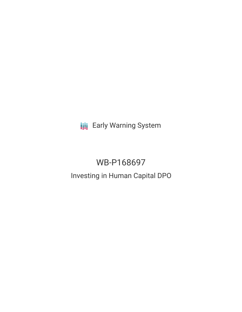**III** Early Warning System

# WB-P168697

# Investing in Human Capital DPO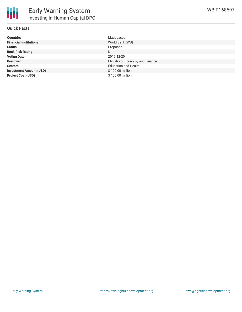

# **Quick Facts**

| <b>Countries</b>               | Madagascar                      |
|--------------------------------|---------------------------------|
| <b>Financial Institutions</b>  | World Bank (WB)                 |
| <b>Status</b>                  | Proposed                        |
| <b>Bank Risk Rating</b>        | U                               |
| <b>Voting Date</b>             | 2019-12-20                      |
| <b>Borrower</b>                | Ministry of Economy and Finance |
| <b>Sectors</b>                 | <b>Education and Health</b>     |
| <b>Investment Amount (USD)</b> | \$100.00 million                |
| <b>Project Cost (USD)</b>      | \$100.00 million                |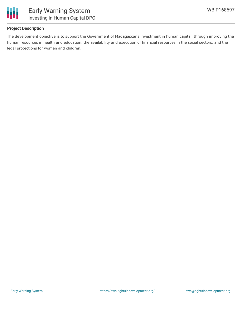

# **Project Description**

The development objective is to support the Government of Madagascar's investment in human capital, through improving the human resources in health and education, the availability and execution of financial resources in the social sectors, and the legal protections for women and children.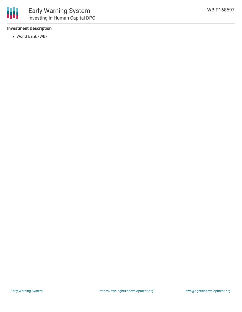#### **Investment Description**

World Bank (WB)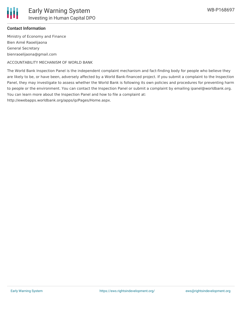

#### **Contact Information**

Ministry of Economy and Finance Bien Aimé Raoelijaona General Secretary bienraoelijaona@gmail.com

ACCOUNTABILITY MECHANISM OF WORLD BANK

The World Bank Inspection Panel is the independent complaint mechanism and fact-finding body for people who believe they are likely to be, or have been, adversely affected by a World Bank-financed project. If you submit a complaint to the Inspection Panel, they may investigate to assess whether the World Bank is following its own policies and procedures for preventing harm to people or the environment. You can contact the Inspection Panel or submit a complaint by emailing ipanel@worldbank.org. You can learn more about the Inspection Panel and how to file a complaint at:

http://ewebapps.worldbank.org/apps/ip/Pages/Home.aspx.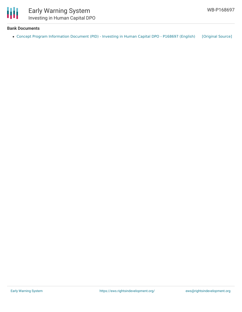

# **Bank Documents**

• Concept Program [Information](https://ewsdata.rightsindevelopment.org/files/documents/97/WB-P168697.pdf) Document (PID) - Investing in Human Capital DPO - P168697 (English) [\[Original](http://documents.worldbank.org/curated/en/131271562695332302/pdf/Concept-Program-Information-Document-PID-Investing-in-Human-Capital-DPO-P168697.pdf) Source]